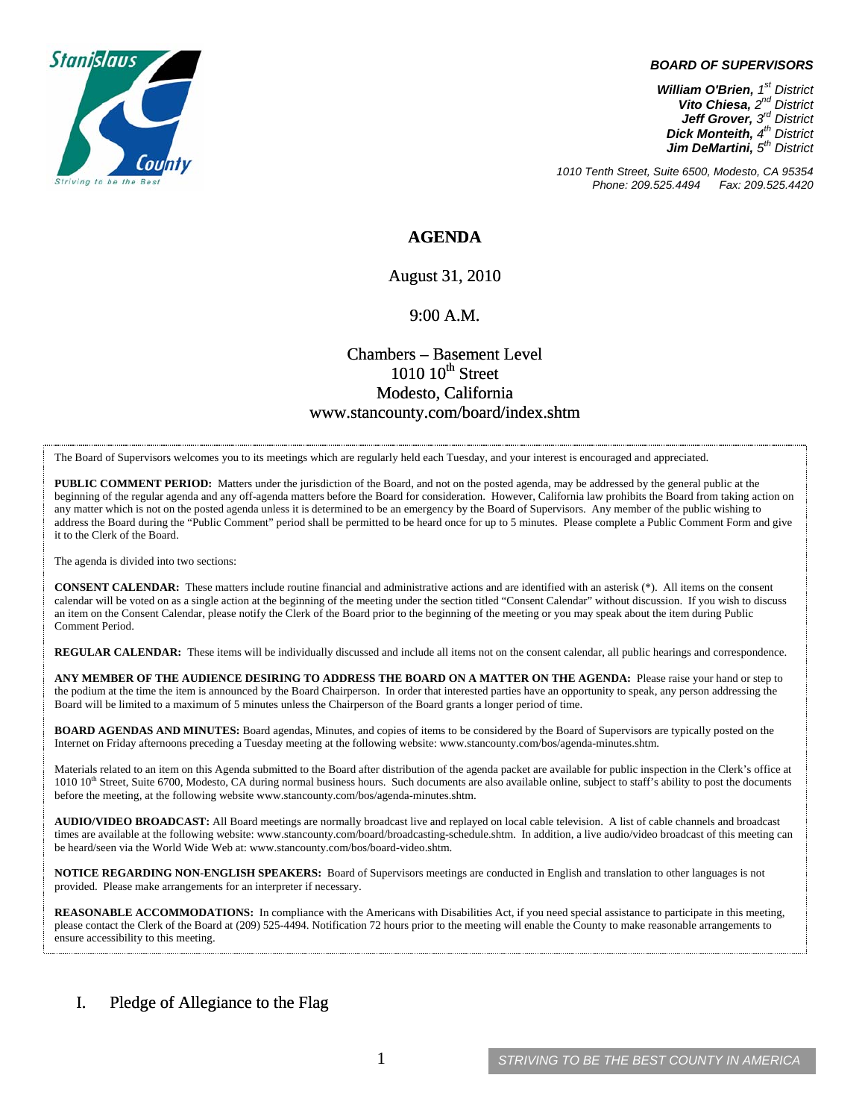

#### *BOARD OF SUPERVISORS*

*William O'Brien, 1st District Vito Chiesa, 2nd District Jeff Grover, 3rd District Dick Monteith, 4th District Jim DeMartini, 5th District*

*1010 Tenth Street, Suite 6500, Modesto, CA 95354 Phone: 209.525.4494* 

## **AGENDA**

August 31, 2010

### 9:00 A.M.

# Chambers – Basement Level  $1010~10$ <sup>th</sup> Street Modesto, California www.stancounty.com/board/index.shtm

The Board of Supervisors welcomes you to its meetings which are regularly held each Tuesday, and your interest is encouraged and appreciated.

**PUBLIC COMMENT PERIOD:** Matters under the jurisdiction of the Board, and not on the posted agenda, may be addressed by the general public at the beginning of the regular agenda and any off-agenda matters before the Board for consideration. However, California law prohibits the Board from taking action on any matter which is not on the posted agenda unless it is determined to be an emergency by the Board of Supervisors. Any member of the public wishing to address the Board during the "Public Comment" period shall be permitted to be heard once for up to 5 minutes. Please complete a Public Comment Form and give it to the Clerk of the Board.

The agenda is divided into two sections:

**CONSENT CALENDAR:** These matters include routine financial and administrative actions and are identified with an asterisk (\*). All items on the consent calendar will be voted on as a single action at the beginning of the meeting under the section titled "Consent Calendar" without discussion. If you wish to discuss an item on the Consent Calendar, please notify the Clerk of the Board prior to the beginning of the meeting or you may speak about the item during Public Comment Period.

**REGULAR CALENDAR:** These items will be individually discussed and include all items not on the consent calendar, all public hearings and correspondence.

**ANY MEMBER OF THE AUDIENCE DESIRING TO ADDRESS THE BOARD ON A MATTER ON THE AGENDA:** Please raise your hand or step to the podium at the time the item is announced by the Board Chairperson. In order that interested parties have an opportunity to speak, any person addressing the Board will be limited to a maximum of 5 minutes unless the Chairperson of the Board grants a longer period of time.

**BOARD AGENDAS AND MINUTES:** Board agendas, Minutes, and copies of items to be considered by the Board of Supervisors are typically posted on the Internet on Friday afternoons preceding a Tuesday meeting at the following website: www.stancounty.com/bos/agenda-minutes.shtm.

Materials related to an item on this Agenda submitted to the Board after distribution of the agenda packet are available for public inspection in the Clerk's office at 1010 10<sup>th</sup> Street, Suite 6700, Modesto, CA during normal business hours. Such documents are also available online, subject to staff's ability to post the documents before the meeting, at the following website www.stancounty.com/bos/agenda-minutes.shtm.

**AUDIO/VIDEO BROADCAST:** All Board meetings are normally broadcast live and replayed on local cable television. A list of cable channels and broadcast times are available at the following website: www.stancounty.com/board/broadcasting-schedule.shtm. In addition, a live audio/video broadcast of this meeting can be heard/seen via the World Wide Web at: www.stancounty.com/bos/board-video.shtm.

**NOTICE REGARDING NON-ENGLISH SPEAKERS:** Board of Supervisors meetings are conducted in English and translation to other languages is not provided. Please make arrangements for an interpreter if necessary.

**REASONABLE ACCOMMODATIONS:** In compliance with the Americans with Disabilities Act, if you need special assistance to participate in this meeting, please contact the Clerk of the Board at (209) 525-4494. Notification 72 hours prior to the meeting will enable the County to make reasonable arrangements to ensure accessibility to this meeting.

## I. Pledge of Allegiance to the Flag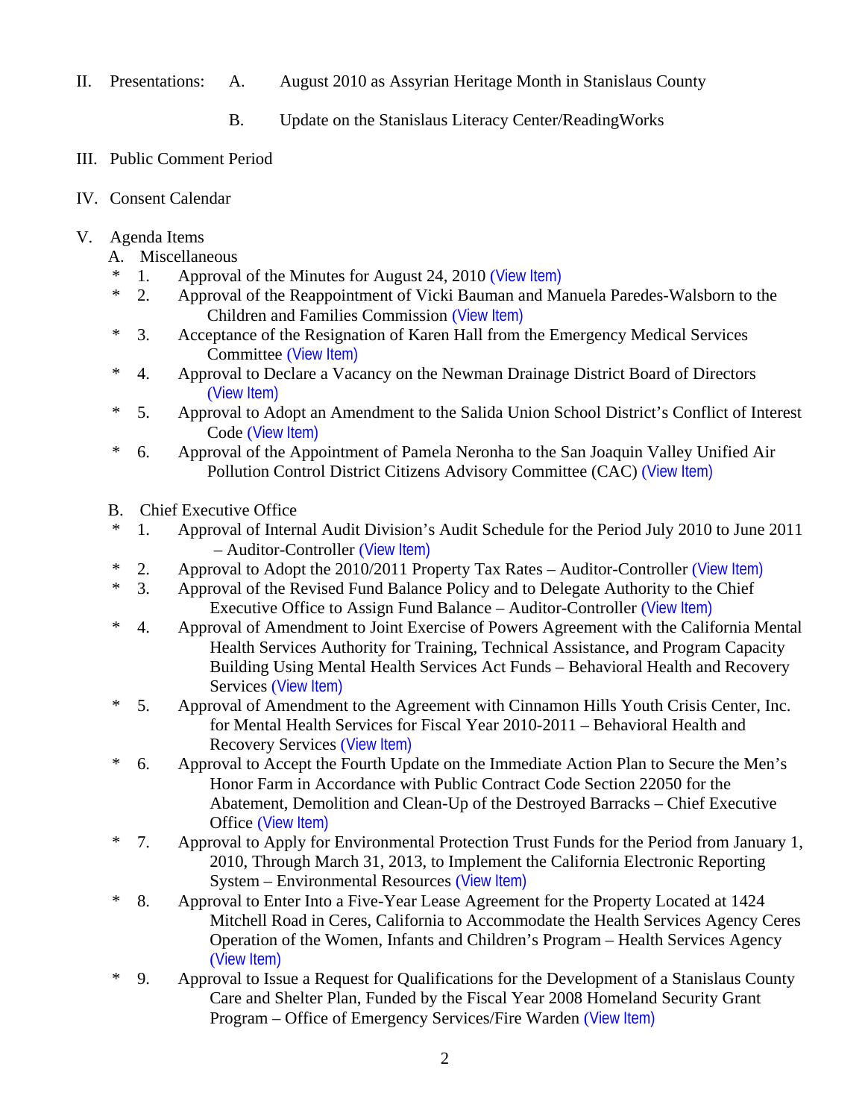- II. Presentations: A. August 2010 as Assyrian Heritage Month in Stanislaus County
	- B. Update on the Stanislaus Literacy Center/ReadingWorks
- III. Public Comment Period
- IV. Consent Calendar
- V. Agenda Items
	- A. Miscellaneous
	- <sup>\*</sup> 1. Approval of the Minutes for August 24, 2010 ([View Item\)](http://www.stancounty.com/bos/minutes/2010/min08-24-10.pdf)<br>  $\frac{1}{2}$  Approval of the Reappointment of Vicki Bauman and Ma
	- 2. Approval of the Reappointment of Vicki Bauman and Manuela Paredes-Walsborn to the Children and Families Commission ([View Item\)](http://www.stancounty.com/bos/agenda/2010/20100831/A02.pdf)
	- \* 3. Acceptance of the Resignation of Karen Hall from the Emergency Medical Services Committee ([View Item\)](http://www.stancounty.com/bos/agenda/2010/20100831/A03.pdf)
	- \* 4. Approval to Declare a Vacancy on the Newman Drainage District Board of Directors ([View Item\)](http://www.stancounty.com/bos/agenda/2010/20100831/A04.pdf)
	- \* 5. Approval to Adopt an Amendment to the Salida Union School District's Conflict of Interest Code ([View Item\)](http://www.stancounty.com/bos/agenda/2010/20100831/A05.pdf)
	- \* 6. Approval of the Appointment of Pamela Neronha to the San Joaquin Valley Unified Air Pollution Control District Citizens Advisory Committee (CAC) ([View Item\)](http://www.stancounty.com/bos/agenda/2010/20100831/A06.pdf)
	- B. Chief Executive Office
	- \* 1. Approval of Internal Audit Division's Audit Schedule for the Period July 2010 to June 2011 – Auditor-Controller ([View Item\)](http://www.stancounty.com/bos/agenda/2010/20100831/B01.pdf)
	- \* 2. Approval to Adopt the 2010/2011 Property Tax Rates Auditor-Controller ([View Item\)](http://www.stancounty.com/bos/agenda/2010/20100831/B02.pdf)
	- \* 3. Approval of the Revised Fund Balance Policy and to Delegate Authority to the Chief Executive Office to Assign Fund Balance – Auditor-Controller ([View Item\)](http://www.stancounty.com/bos/agenda/2010/20100831/B03.pdf)
	- \* 4. Approval of Amendment to Joint Exercise of Powers Agreement with the California Mental Health Services Authority for Training, Technical Assistance, and Program Capacity Building Using Mental Health Services Act Funds – Behavioral Health and Recovery Services ([View Item\)](http://www.stancounty.com/bos/agenda/2010/20100831/B04.pdf)
	- \* 5. Approval of Amendment to the Agreement with Cinnamon Hills Youth Crisis Center, Inc. for Mental Health Services for Fiscal Year 2010-2011 – Behavioral Health and Recovery Services ([View Item\)](http://www.stancounty.com/bos/agenda/2010/20100831/B05.pdf)
	- \* 6. Approval to Accept the Fourth Update on the Immediate Action Plan to Secure the Men's Honor Farm in Accordance with Public Contract Code Section 22050 for the Abatement, Demolition and Clean-Up of the Destroyed Barracks – Chief Executive Office ([View Item\)](http://www.stancounty.com/bos/agenda/2010/20100831/B06.pdf)
	- \* 7. Approval to Apply for Environmental Protection Trust Funds for the Period from January 1, 2010, Through March 31, 2013, to Implement the California Electronic Reporting System – Environmental Resources ([View Item\)](http://www.stancounty.com/bos/agenda/2010/20100831/B07.pdf)
	- \* 8. Approval to Enter Into a Five-Year Lease Agreement for the Property Located at 1424 Mitchell Road in Ceres, California to Accommodate the Health Services Agency Ceres Operation of the Women, Infants and Children's Program – Health Services Agency ([View Item\)](http://www.stancounty.com/bos/agenda/2010/20100831/B08.pdf)
	- \* 9. Approval to Issue a Request for Qualifications for the Development of a Stanislaus County Care and Shelter Plan, Funded by the Fiscal Year 2008 Homeland Security Grant Program – Office of Emergency Services/Fire Warden ([View Item\)](http://www.stancounty.com/bos/agenda/2010/20100831/B09.pdf)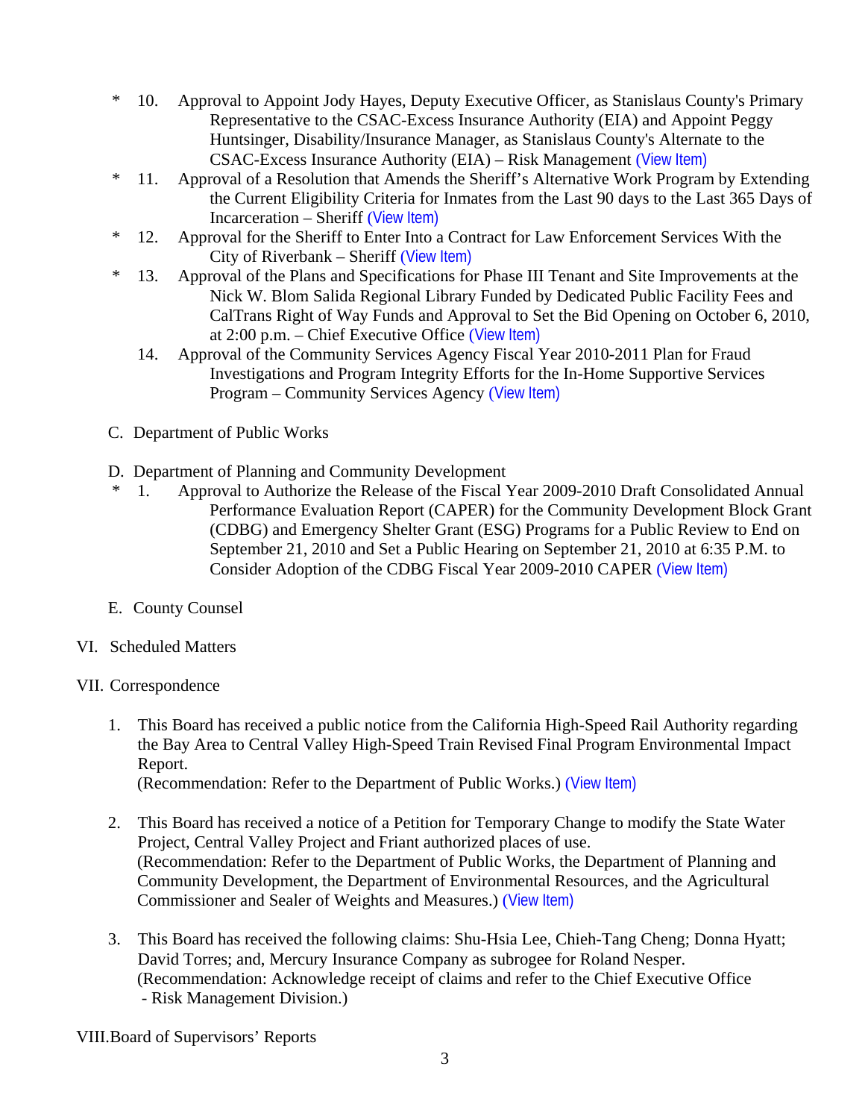- \* 10. Approval to Appoint Jody Hayes, Deputy Executive Officer, as Stanislaus County's Primary Representative to the CSAC-Excess Insurance Authority (EIA) and Appoint Peggy Huntsinger, Disability/Insurance Manager, as Stanislaus County's Alternate to the CSAC-Excess Insurance Authority (EIA) – Risk Management ([View Item\)](http://www.stancounty.com/bos/agenda/2010/20100831/B10.pdf)
- \* 11. Approval of a Resolution that Amends the Sheriff's Alternative Work Program by Extending the Current Eligibility Criteria for Inmates from the Last 90 days to the Last 365 Days of Incarceration – Sheriff ([View Item\)](http://www.stancounty.com/bos/agenda/2010/20100831/B11.pdf)
- \* 12. Approval for the Sheriff to Enter Into a Contract for Law Enforcement Services With the City of Riverbank – Sheriff ([View Item\)](http://www.stancounty.com/bos/agenda/2010/20100831/B12.pdf)
- \* 13. Approval of the Plans and Specifications for Phase III Tenant and Site Improvements at the Nick W. Blom Salida Regional Library Funded by Dedicated Public Facility Fees and CalTrans Right of Way Funds and Approval to Set the Bid Opening on October 6, 2010, at 2:00 p.m. – Chief Executive Office ([View Item\)](http://www.stancounty.com/bos/agenda/2010/20100831/B13.pdf)
	- 14. Approval of the Community Services Agency Fiscal Year 2010-2011 Plan for Fraud Investigations and Program Integrity Efforts for the In-Home Supportive Services Program – Community Services Agency ([View Item\)](http://www.stancounty.com/bos/agenda/2010/20100831/B14.pdf)
- C. Department of Public Works
- D. Department of Planning and Community Development
- \* 1. Approval to Authorize the Release of the Fiscal Year 2009-2010 Draft Consolidated Annual Performance Evaluation Report (CAPER) for the Community Development Block Grant (CDBG) and Emergency Shelter Grant (ESG) Programs for a Public Review to End on September 21, 2010 and Set a Public Hearing on September 21, 2010 at 6:35 P.M. to Consider Adoption of the CDBG Fiscal Year 2009-2010 CAPER ([View Item\)](http://www.stancounty.com/bos/agenda/2010/20100831/D01.pdf)
- E. County Counsel
- VI. Scheduled Matters
- VII. Correspondence
	- 1. This Board has received a public notice from the California High-Speed Rail Authority regarding the Bay Area to Central Valley High-Speed Train Revised Final Program Environmental Impact Report.

(Recommendation: Refer to the Department of Public Works.) ([View Item\)](http://www.stancounty.com/bos/agenda/2010/20100831/Corr01.pdf)

- 2. This Board has received a notice of a Petition for Temporary Change to modify the State Water Project, Central Valley Project and Friant authorized places of use. (Recommendation: Refer to the Department of Public Works, the Department of Planning and Community Development, the Department of Environmental Resources, and the Agricultural Commissioner and Sealer of Weights and Measures.) ([View Item\)](http://www.stancounty.com/bos/agenda/2010/20100831/Corr02.pdf)
- 3. This Board has received the following claims: Shu-Hsia Lee, Chieh-Tang Cheng; Donna Hyatt; David Torres; and, Mercury Insurance Company as subrogee for Roland Nesper. (Recommendation: Acknowledge receipt of claims and refer to the Chief Executive Office - Risk Management Division.)

VIII.Board of Supervisors' Reports